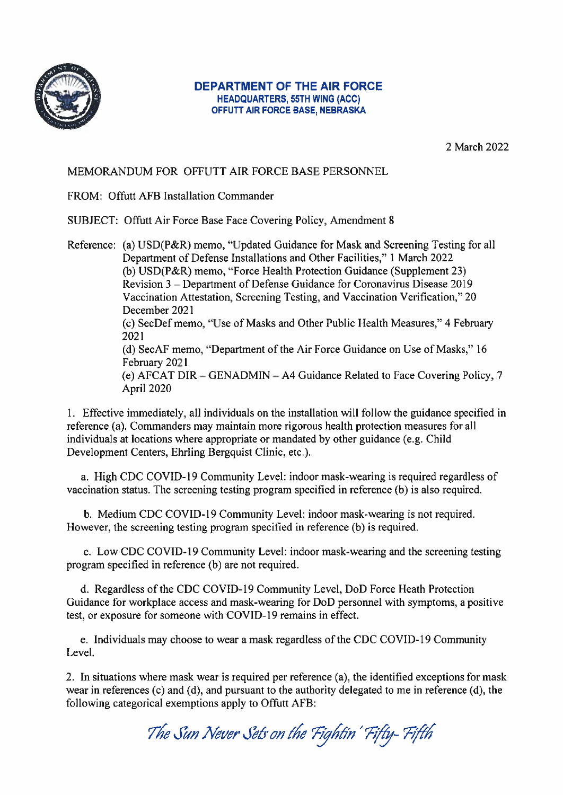

### **DEPARTMENT OF THE AIR FORCE HEADQUARTERS, 55TH WING (ACC)** OFFUTT AIR FORCE BASE, NEBRASKA

2 March 2022

# MEMORANDUM FOR OFFUTT AIR FORCE BASE PERSONNEL

FROM: Offutt AFB Installation Commander

SUBJECT: Offutt Air Force Base Face Covering Policy, Amendment 8

Reference: (a) USD(P&R) memo, "Updated Guidance for Mask and Screening Testing for all Department of Defense Installations and Other Facilities," 1 March 2022 (b) USD(P&R) memo, "Force Health Protection Guidance (Supplement 23) Revision 3 – Department of Defense Guidance for Coronavirus Disease 2019 Vaccination Attestation, Screening Testing, and Vaccination Verification," 20 December 2021 (c) SecDef memo, "Use of Masks and Other Public Health Measures," 4 February 2021 (d) SecAF memo, "Department of the Air Force Guidance on Use of Masks," 16 February 2021 (e) AFCAT DIR – GENADMIN – A4 Guidance Related to Face Covering Policy, 7 April 2020

1. Effective immediately, all individuals on the installation will follow the guidance specified in reference (a). Commanders may maintain more rigorous health protection measures for all individuals at locations where appropriate or mandated by other guidance (e.g. Child Development Centers, Ehrling Bergquist Clinic, etc.).

a. High CDC COVID-19 Community Level: indoor mask-wearing is required regardless of vaccination status. The screening testing program specified in reference (b) is also required.

b. Medium CDC COVID-19 Community Level: indoor mask-wearing is not required. However, the screening testing program specified in reference (b) is required.

c. Low CDC COVID-19 Community Level: indoor mask-wearing and the screening testing program specified in reference (b) are not required.

d. Regardless of the CDC COVID-19 Community Level, DoD Force Heath Protection Guidance for workplace access and mask-wearing for DoD personnel with symptoms, a positive test, or exposure for someone with COVID-19 remains in effect.

e. Individuals may choose to wear a mask regardless of the CDC COVID-19 Community Level.

2. In situations where mask wear is required per reference (a), the identified exceptions for mask wear in references (c) and (d), and pursuant to the authority delegated to me in reference (d), the following categorical exemptions apply to Offutt AFB:

The Sun Never Sets on the Fightin' Fifty-Fifth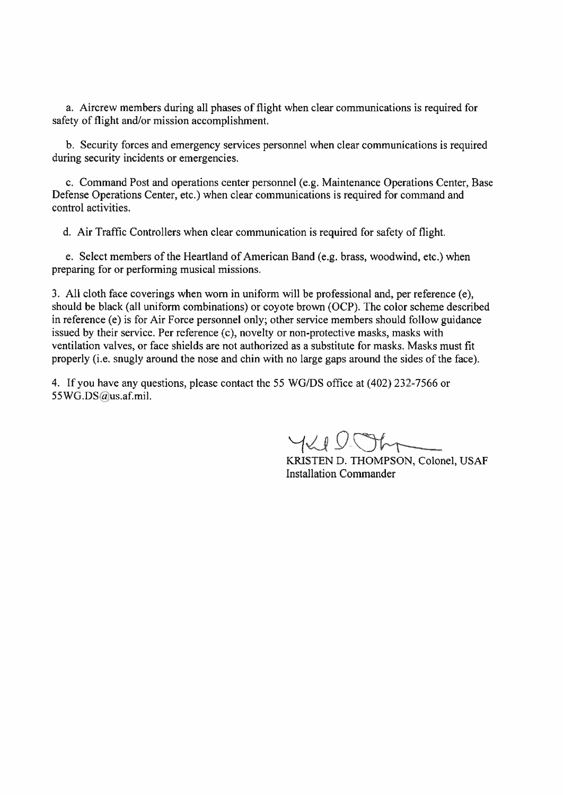a. Aircrew members during all phases of flight when clear communications is required for safety of flight and/or mission accomplishment.

b. Security forces and emergency services personnel when clear communications is required during security incidents or emergencies.

c. Command Post and operations center personnel (e.g. Maintenance Operations Center, Base Defense Operations Center, etc.) when clear communications is required for command and control activities.

d. Air Traffic Controllers when clear communication is required for safety of flight.

e. Select members of the Heartland of American Band (e.g. brass, woodwind, etc.) when preparing for or performing musical missions.

3. All cloth face coverings when worn in uniform will be professional and, per reference (e), should be black (all uniform combinations) or coyote brown (OCP). The color scheme described in reference (e) is for Air Force personnel only; other service members should follow guidance issued by their service. Per reference (c), novelty or non-protective masks, masks with ventilation valves, or face shields are not authorized as a substitute for masks. Masks must fit properly (i.e. snugly around the nose and chin with no large gaps around the sides of the face).

4. If you have any questions, please contact the 55 WG/DS office at (402) 232-7566 or 55WG.DS@us.af.mil.

YKIDOhr

KRISTEN D. THOMPSON, Colonel, USAF **Installation Commander**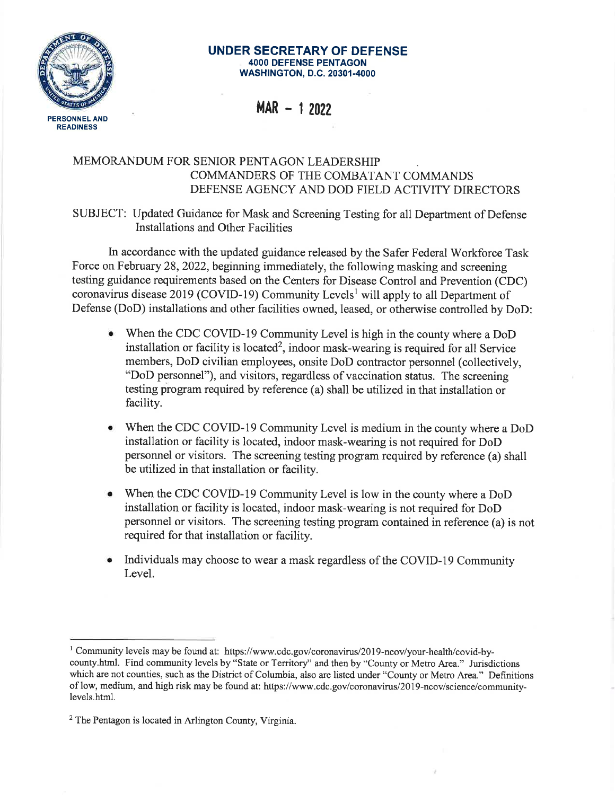

#### **UNDER SECRETARY OF DEFENSE 4000 DEFENSE PENTAGON WASHINGTON, D.C. 20301-4000**

**MAR - 1 2022** 

## MEMORANDUM FOR SENIOR PENTAGON LEADERSHIP COMMANDERS OF THE COMBATANT COMMANDS DEFENSE AGENCY AND DOD FIELD ACTIVITY DIRECTORS

SUBJECT: Updated Guidance for Mask and Screening Testing for all Department of Defense Installations and Other Facilities

In accordance with the updated guidance released by the Safer Federal Workforce Task Force on February 28, 2022, beginning immediately, the following masking and screening testing guidance requirements based on the Centers for Disease Control and Prevention (CDC) coronavirus disease 2019 (COVID-19) Community Levels<sup>1</sup> will apply to all Department of Defense (DoD) installations and other facilities owned, leased, or otherwise controlled by DoD:

- When the CDC COVID-19 Community Level is high in the county where a DoD installation or facility is located<sup>2</sup>, indoor mask-wearing is required for all Service members, DoD civilian employees, onsite DoD contractor personnel (collectively, "DoD personnel"), and visitors, regardless of vaccination status. The screening testing program required by reference (a) shall be utilized in that installation or facility.
- When the CDC COVID-19 Community Level is medium in the county where a DoD installation or facility is located, indoor mask-wearing is not required for DoD personnel or visitors. The screening testing program required by reference (a) shall be utilized in that installation or facility.
- When the CDC COVID-19 Community Level is low in the county where a DoD installation or facility is located, indoor mask-wearing is not required for DoD personnel or visitors. The screening testing program contained in reference (a) is not required for that installation or facility.
- Individuals may choose to wear a mask regardless of the COVID-19 Community Level.

<sup>&</sup>lt;sup>1</sup> Community levels may be found at: https://www.cdc.gov/coronavirus/2019-ncov/your-health/covid-bycounty.html. Find community levels by "State or Territory" and then by "County or Metro Area." Jurisdictions which are not counties, such as the District of Columbia, also are listed under "County or Metro Area." Definitions of low, medium, and high risk may be found at: https:/ /www.cdc.gov/coronavirus/2019-ncov/science/communitylevels.html.

 $2$  The Pentagon is located in Arlington County, Virginia.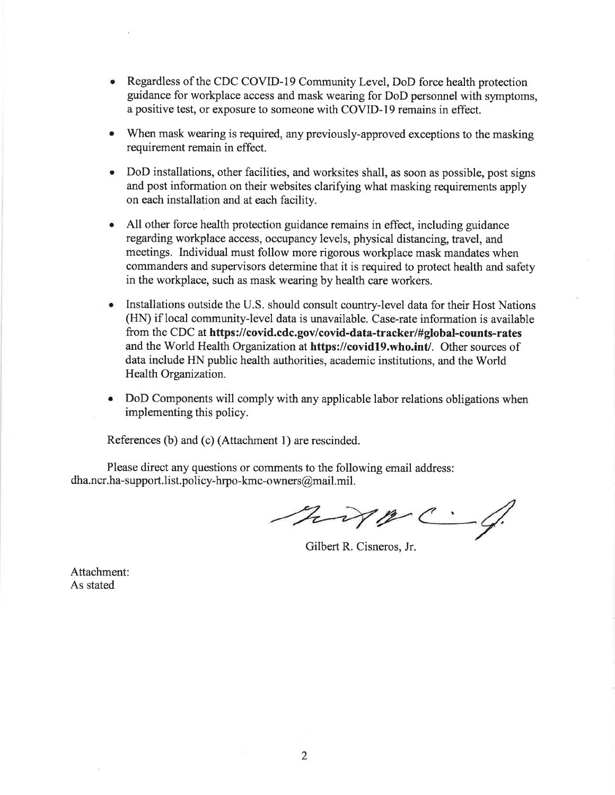- Regardless of the CDC COVID-19 Community Level, DoD force health protection guidance for workplace access and mask wearing for DoD personnel with symptoms, a positive test, or exposure to someone with COVID-19 remains in effect.
- When mask wearing is required, any previously-approved exceptions to the masking requirement remain in effect.
- DoD installations, other facilities, and worksites shall, as soon as possible, post signs and post information on their websites clarifying what masking requirements apply on each installation and at each facility.
- All other force health protection guidance remains in effect, including guidance regarding workplace access, occupancy levels, physical distancing, travel, and meetings. Individual must follow more rigorous workplace mask mandates when commanders and supervisors determine that it is required to protect health and safety in the workplace, such as mask wearing by health care workers.
- Installations outside the U.S. should consult country-level data for their Host Nations (HN) iflocal community-level data is unavailable. Case-rate information is available from the CDC at **https://covid.cdc.gov/covid-data-tracker/#global-counts-rates**  and the World Health Organization at **https://covid19.who.int/.** Other sources of data include HN public health authorities, academic institutions, and the World Health Organization.
- DoD Components will comply with any applicable labor relations obligations when implementing this policy.

References (b) and (c) (Attachment 1) are rescinded.

Please direct any questions or comments to the following email address: dha.ncr.ha-support.list.policy-hrpo-kmc-owners@mail.mil.

hipp C.

Gilbert R. Cisneros, Jr.

Attachment: As stated